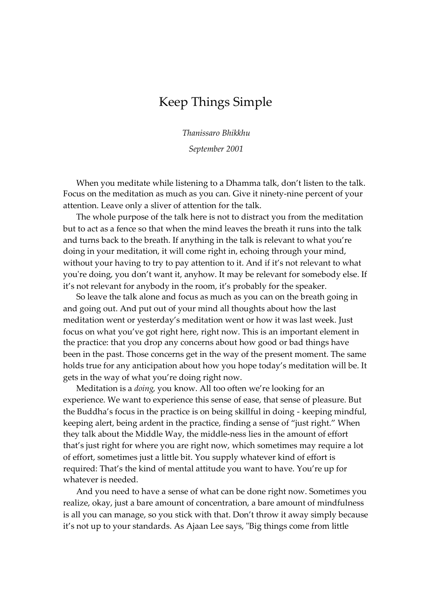## Keep Things Simple

*Thanissaro Bhikkhu*

*September 2001*

When you meditate while listening to a Dhamma talk, don't listen to the talk. Focus on the meditation as much as you can. Give it ninety-nine percent of your attention. Leave only a sliver of attention for the talk.

The whole purpose of the talk here is not to distract you from the meditation but to act as a fence so that when the mind leaves the breath it runs into the talk and turns back to the breath. If anything in the talk is relevant to what you're doing in your meditation, it will come right in, echoing through your mind, without your having to try to pay attention to it. And if it's not relevant to what you're doing, you don't want it, anyhow. It may be relevant for somebody else. If it's not relevant for anybody in the room, it's probably for the speaker.

So leave the talk alone and focus as much as you can on the breath going in and going out. And put out of your mind all thoughts about how the last meditation went or yesterday's meditation went or how it was last week. Just focus on what you've got right here, right now. This is an important element in the practice: that you drop any concerns about how good or bad things have been in the past. Those concerns get in the way of the present moment. The same holds true for any anticipation about how you hope today's meditation will be. It gets in the way of what you're doing right now.

Meditation is a *doing*, you know. All too often we're looking for an experience. We want to experience this sense of ease, that sense of pleasure. But the Buddha's focus in the practice is on being skillful in doing - keeping mindful, keeping alert, being ardent in the practice, finding a sense of "just right." When they talk about the Middle Way, the middle-ness lies in the amount of effort that's just right for where you are right now, which sometimes may require a lot of effort, sometimes just a little bit. You supply whatever kind of effort is required: That's the kind of mental attitude you want to have. You're up for whatever is needed.

And you need to have a sense of what can be done right now. Sometimes you realize, okay, just a bare amount of concentration, a bare amount of mindfulness is all you can manage, so you stick with that. Don't throw it away simply because it's not up to your standards. As Ajaan Lee says, "Big things come from little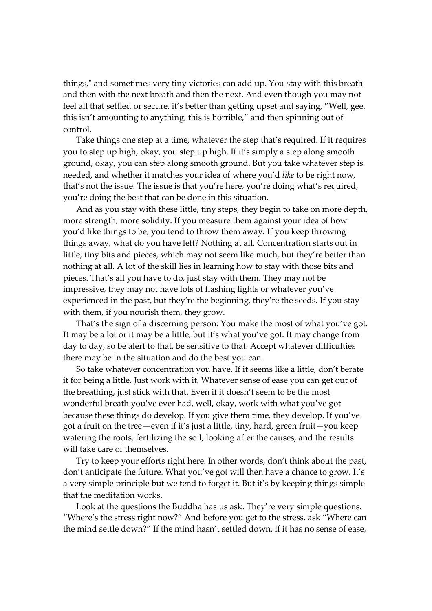things," and sometimes very tiny victories can add up. You stay with this breath and then with the next breath and then the next. And even though you may not feel all that settled or secure, it's better than getting upset and saying, "Well, gee, this isn't amounting to anything; this is horrible," and then spinning out of control.

Take things one step at a time, whatever the step that's required. If it requires you to step up high, okay, you step up high. If it's simply a step along smooth ground, okay, you can step along smooth ground. But you take whatever step is needed, and whether it matches your idea of where you'd *like* to be right now, that's not the issue. The issue is that you're here, you're doing what's required, you're doing the best that can be done in this situation.

And as you stay with these little, tiny steps, they begin to take on more depth, more strength, more solidity. If you measure them against your idea of how you'd like things to be, you tend to throw them away. If you keep throwing things away, what do you have left? Nothing at all. Concentration starts out in little, tiny bits and pieces, which may not seem like much, but they're better than nothing at all. A lot of the skill lies in learning how to stay with those bits and pieces. That's all you have to do, just stay with them. They may not be impressive, they may not have lots of flashing lights or whatever you've experienced in the past, but they're the beginning, they're the seeds. If you stay with them, if you nourish them, they grow.

That's the sign of a discerning person: You make the most of what you've got. It may be a lot or it may be a little, but it's what you've got. It may change from day to day, so be alert to that, be sensitive to that. Accept whatever difficulties there may be in the situation and do the best you can.

So take whatever concentration you have. If it seems like a little, don't berate it for being a little. Just work with it. Whatever sense of ease you can get out of the breathing, just stick with that. Even if it doesn't seem to be the most wonderful breath you've ever had, well, okay, work with what you've got because these things do develop. If you give them time, they develop. If you've got a fruit on the tree—even if it's just a little, tiny, hard, green fruit—you keep watering the roots, fertilizing the soil, looking after the causes, and the results will take care of themselves.

Try to keep your efforts right here. In other words, don't think about the past, don't anticipate the future. What you've got will then have a chance to grow. It's a very simple principle but we tend to forget it. But it's by keeping things simple that the meditation works.

Look at the questions the Buddha has us ask. They're very simple questions. "Where's the stress right now?" And before you get to the stress, ask "Where can the mind settle down?" If the mind hasn't settled down, if it has no sense of ease,